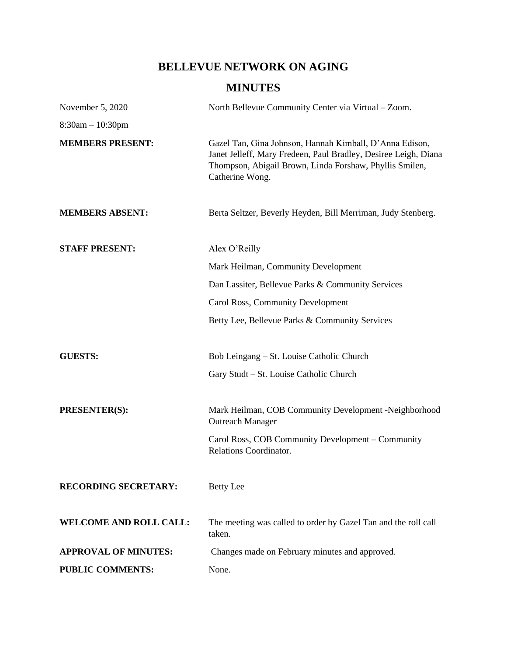# **BELLEVUE NETWORK ON AGING**

# **MINUTES**

| November 5, 2020              | North Bellevue Community Center via Virtual - Zoom.                                                                                                                                                      |
|-------------------------------|----------------------------------------------------------------------------------------------------------------------------------------------------------------------------------------------------------|
| $8:30am - 10:30pm$            |                                                                                                                                                                                                          |
| <b>MEMBERS PRESENT:</b>       | Gazel Tan, Gina Johnson, Hannah Kimball, D'Anna Edison,<br>Janet Jelleff, Mary Fredeen, Paul Bradley, Desiree Leigh, Diana<br>Thompson, Abigail Brown, Linda Forshaw, Phyllis Smilen,<br>Catherine Wong. |
| <b>MEMBERS ABSENT:</b>        | Berta Seltzer, Beverly Heyden, Bill Merriman, Judy Stenberg.                                                                                                                                             |
| <b>STAFF PRESENT:</b>         | Alex O'Reilly                                                                                                                                                                                            |
|                               | Mark Heilman, Community Development                                                                                                                                                                      |
|                               | Dan Lassiter, Bellevue Parks & Community Services                                                                                                                                                        |
|                               | Carol Ross, Community Development                                                                                                                                                                        |
|                               | Betty Lee, Bellevue Parks & Community Services                                                                                                                                                           |
| <b>GUESTS:</b>                | Bob Leingang – St. Louise Catholic Church                                                                                                                                                                |
|                               | Gary Studt – St. Louise Catholic Church                                                                                                                                                                  |
| <b>PRESENTER(S):</b>          | Mark Heilman, COB Community Development -Neighborhood<br><b>Outreach Manager</b>                                                                                                                         |
|                               | Carol Ross, COB Community Development – Community<br>Relations Coordinator.                                                                                                                              |
| <b>RECORDING SECRETARY:</b>   | <b>Betty</b> Lee                                                                                                                                                                                         |
| <b>WELCOME AND ROLL CALL:</b> | The meeting was called to order by Gazel Tan and the roll call<br>taken.                                                                                                                                 |
| <b>APPROVAL OF MINUTES:</b>   | Changes made on February minutes and approved.                                                                                                                                                           |
| <b>PUBLIC COMMENTS:</b>       | None.                                                                                                                                                                                                    |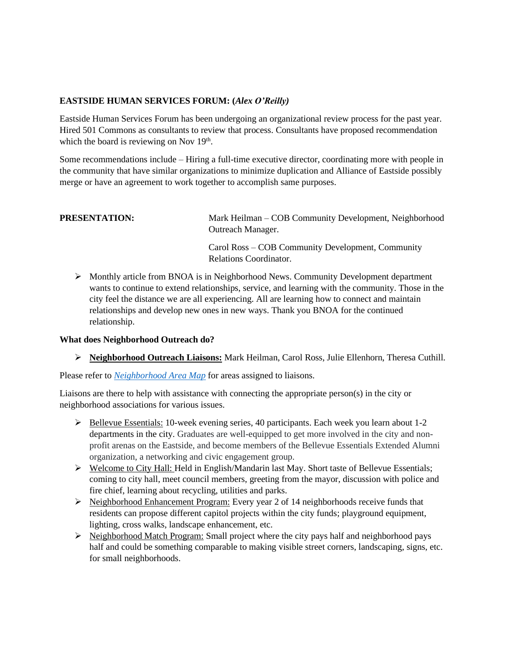## **EASTSIDE HUMAN SERVICES FORUM: (***Alex O'Reilly)*

Eastside Human Services Forum has been undergoing an organizational review process for the past year. Hired 501 Commons as consultants to review that process. Consultants have proposed recommendation which the board is reviewing on Nov  $19<sup>th</sup>$ .

Some recommendations include – Hiring a full-time executive director, coordinating more with people in the community that have similar organizations to minimize duplication and Alliance of Eastside possibly merge or have an agreement to work together to accomplish same purposes.

**PRESENTATION:** Mark Heilman – COB Community Development, Neighborhood Outreach Manager.

> Carol Ross – COB Community Development, Community Relations Coordinator.

➢ Monthly article from BNOA is in Neighborhood News. Community Development department wants to continue to extend relationships, service, and learning with the community. Those in the city feel the distance we are all experiencing. All are learning how to connect and maintain relationships and develop new ones in new ways. Thank you BNOA for the continued relationship.

#### **What does Neighborhood Outreach do?**

➢ **Neighborhood Outreach Liaisons:** Mark Heilman, Carol Ross, Julie Ellenhorn, Theresa Cuthill.

Please refer to *[Neighborhood Area](https://cobgis.maps.arcgis.com/apps/webappviewer/index.html?id=e1748172d4f34f1eb3710032a351cd57&extent=-13611107.5608%2C6032771.798%2C-13586647.7117%2C6048842.6832%2C102100&showLayers=Projects_6173_4%3BCommunity_5649%3BCommunity_5649_0%3BCommunity_5649_28%3BUtilities_1437_6%3BUtilities_1437_16%3BUtilities_1437_808%3BUtilities_1437_96%3BUtilities_1437_90%3BUtilities_1437_87%3BUtilities_1437_805%3BTransportation_4945_75%3BTransportation_4945_61%3BProperty_365%3BProperty_365_60%3BProperty_365_32%3BProperty_365_58%3BEnvironmental_2606_255) Map* for areas assigned to liaisons.

Liaisons are there to help with assistance with connecting the appropriate person(s) in the city or neighborhood associations for various issues.

- $\triangleright$  Bellevue Essentials: 10-week evening series, 40 participants. Each week you learn about 1-2 departments in the city. Graduates are well-equipped to get more involved in the city and nonprofit arenas on the Eastside, and become members of the Bellevue Essentials Extended Alumni organization, a networking and civic engagement group.
- ➢ Welcome to City Hall: Held in English/Mandarin last May. Short taste of Bellevue Essentials; coming to city hall, meet council members, greeting from the mayor, discussion with police and fire chief, learning about recycling, utilities and parks.
- $\triangleright$  Neighborhood Enhancement Program: Every year 2 of 14 neighborhoods receive funds that residents can propose different capitol projects within the city funds; playground equipment, lighting, cross walks, landscape enhancement, etc.
- ➢ Neighborhood Match Program: Small project where the city pays half and neighborhood pays half and could be something comparable to making visible street corners, landscaping, signs, etc. for small neighborhoods.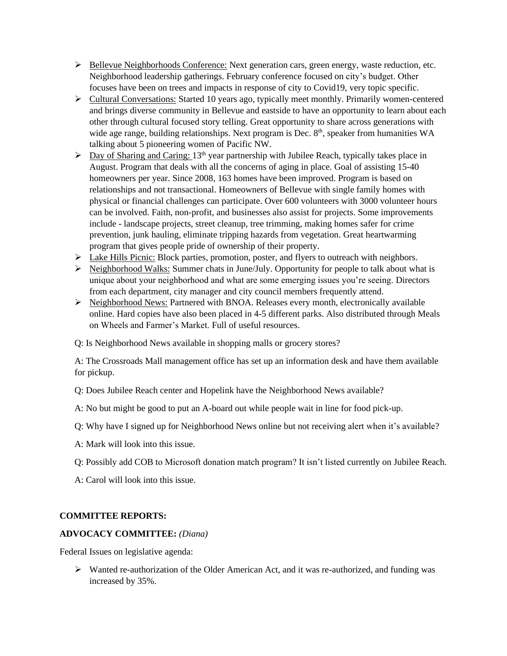- ➢ Bellevue Neighborhoods Conference: Next generation cars, green energy, waste reduction, etc. Neighborhood leadership gatherings. February conference focused on city's budget. Other focuses have been on trees and impacts in response of city to Covid19, very topic specific.
- ➢ Cultural Conversations: Started 10 years ago, typically meet monthly. Primarily women-centered and brings diverse community in Bellevue and eastside to have an opportunity to learn about each other through cultural focused story telling. Great opportunity to share across generations with wide age range, building relationships. Next program is Dec.  $8<sup>th</sup>$ , speaker from humanities WA talking about 5 pioneering women of Pacific NW.
- $\triangleright$  Day of Sharing and Caring: 13<sup>th</sup> year partnership with Jubilee Reach, typically takes place in August. Program that deals with all the concerns of aging in place. Goal of assisting 15-40 homeowners per year. Since 2008, 163 homes have been improved. Program is based on relationships and not transactional. Homeowners of Bellevue with single family homes with physical or financial challenges can participate. Over 600 volunteers with 3000 volunteer hours can be involved. Faith, non-profit, and businesses also assist for projects. Some improvements include - landscape projects, street cleanup, tree trimming, making homes safer for crime prevention, junk hauling, eliminate tripping hazards from vegetation. Great heartwarming program that gives people pride of ownership of their property.
- $\triangleright$  Lake Hills Picnic: Block parties, promotion, poster, and flyers to outreach with neighbors.
- ➢ Neighborhood Walks: Summer chats in June/July. Opportunity for people to talk about what is unique about your neighborhood and what are some emerging issues you're seeing. Directors from each department, city manager and city council members frequently attend.
- $\triangleright$  Neighborhood News: Partnered with BNOA. Releases every month, electronically available online. Hard copies have also been placed in 4-5 different parks. Also distributed through Meals on Wheels and Farmer's Market. Full of useful resources.

Q: Is Neighborhood News available in shopping malls or grocery stores?

A: The Crossroads Mall management office has set up an information desk and have them available for pickup.

Q: Does Jubilee Reach center and Hopelink have the Neighborhood News available?

A: No but might be good to put an A-board out while people wait in line for food pick-up.

Q: Why have I signed up for Neighborhood News online but not receiving alert when it's available?

- A: Mark will look into this issue.
- Q: Possibly add COB to Microsoft donation match program? It isn't listed currently on Jubilee Reach.
- A: Carol will look into this issue.

# **COMMITTEE REPORTS:**

#### **ADVOCACY COMMITTEE:** *(Diana)*

Federal Issues on legislative agenda:

➢ Wanted re-authorization of the Older American Act, and it was re-authorized, and funding was increased by 35%.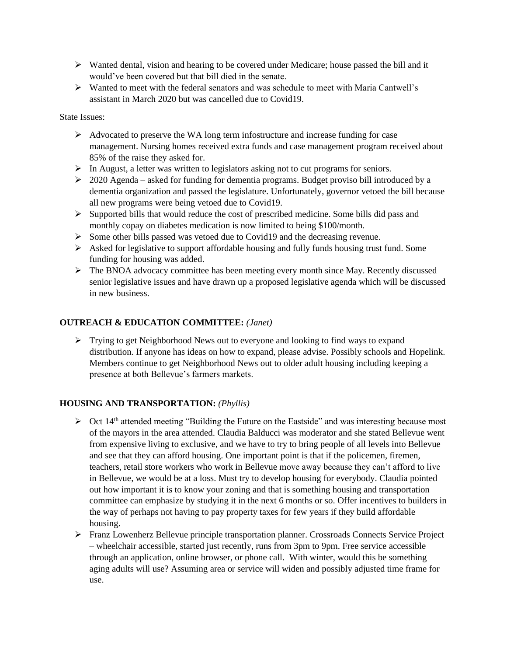- $\triangleright$  Wanted dental, vision and hearing to be covered under Medicare; house passed the bill and it would've been covered but that bill died in the senate.
- $\triangleright$  Wanted to meet with the federal senators and was schedule to meet with Maria Cantwell's assistant in March 2020 but was cancelled due to Covid19.

State Issues:

- $\triangleright$  Advocated to preserve the WA long term infostructure and increase funding for case management. Nursing homes received extra funds and case management program received about 85% of the raise they asked for.
- ➢ In August, a letter was written to legislators asking not to cut programs for seniors.
- $\geq 2020$  Agenda asked for funding for dementia programs. Budget proviso bill introduced by a dementia organization and passed the legislature. Unfortunately, governor vetoed the bill because all new programs were being vetoed due to Covid19.
- ➢ Supported bills that would reduce the cost of prescribed medicine. Some bills did pass and monthly copay on diabetes medication is now limited to being \$100/month.
- ➢ Some other bills passed was vetoed due to Covid19 and the decreasing revenue.
- $\triangleright$  Asked for legislative to support affordable housing and fully funds housing trust fund. Some funding for housing was added.
- $\triangleright$  The BNOA advocacy committee has been meeting every month since May. Recently discussed senior legislative issues and have drawn up a proposed legislative agenda which will be discussed in new business.

## **OUTREACH & EDUCATION COMMITTEE:** *(Janet)*

 $\triangleright$  Trying to get Neighborhood News out to everyone and looking to find ways to expand distribution. If anyone has ideas on how to expand, please advise. Possibly schools and Hopelink. Members continue to get Neighborhood News out to older adult housing including keeping a presence at both Bellevue's farmers markets.

# **HOUSING AND TRANSPORTATION:** *(Phyllis)*

- $\triangleright$  Oct 14<sup>th</sup> attended meeting "Building the Future on the Eastside" and was interesting because most of the mayors in the area attended. Claudia Balducci was moderator and she stated Bellevue went from expensive living to exclusive, and we have to try to bring people of all levels into Bellevue and see that they can afford housing. One important point is that if the policemen, firemen, teachers, retail store workers who work in Bellevue move away because they can't afford to live in Bellevue, we would be at a loss. Must try to develop housing for everybody. Claudia pointed out how important it is to know your zoning and that is something housing and transportation committee can emphasize by studying it in the next 6 months or so. Offer incentives to builders in the way of perhaps not having to pay property taxes for few years if they build affordable housing.
- ➢ Franz Lowenherz Bellevue principle transportation planner. Crossroads Connects Service Project – wheelchair accessible, started just recently, runs from 3pm to 9pm. Free service accessible through an application, online browser, or phone call. With winter, would this be something aging adults will use? Assuming area or service will widen and possibly adjusted time frame for use.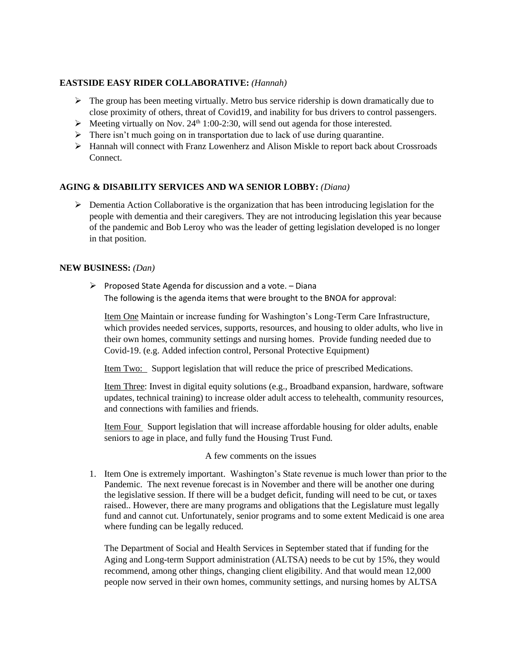### **EASTSIDE EASY RIDER COLLABORATIVE:** *(Hannah)*

- $\triangleright$  The group has been meeting virtually. Metro bus service ridership is down dramatically due to close proximity of others, threat of Covid19, and inability for bus drivers to control passengers.
- $\triangleright$  Meeting virtually on Nov. 24<sup>th</sup> 1:00-2:30, will send out agenda for those interested.
- $\triangleright$  There isn't much going on in transportation due to lack of use during quarantine.
- ➢ Hannah will connect with Franz Lowenherz and Alison Miskle to report back about Crossroads Connect.

# **AGING & DISABILITY SERVICES AND WA SENIOR LOBBY:** *(Diana)*

➢ Dementia Action Collaborative is the organization that has been introducing legislation for the people with dementia and their caregivers. They are not introducing legislation this year because of the pandemic and Bob Leroy who was the leader of getting legislation developed is no longer in that position.

#### **NEW BUSINESS:** *(Dan)*

 $\triangleright$  Proposed State Agenda for discussion and a vote. – Diana The following is the agenda items that were brought to the BNOA for approval:

Item One Maintain or increase funding for Washington's Long-Term Care Infrastructure, which provides needed services, supports, resources, and housing to older adults, who live in their own homes, community settings and nursing homes. Provide funding needed due to Covid-19. (e.g. Added infection control, Personal Protective Equipment)

Item Two: Support legislation that will reduce the price of prescribed Medications.

Item Three: Invest in digital equity solutions (e.g., Broadband expansion, hardware, software updates, technical training) to increase older adult access to telehealth, community resources, and connections with families and friends.

Item Four Support legislation that will increase affordable housing for older adults, enable seniors to age in place, and fully fund the Housing Trust Fund.

A few comments on the issues

1. Item One is extremely important. Washington's State revenue is much lower than prior to the Pandemic. The next revenue forecast is in November and there will be another one during the legislative session. If there will be a budget deficit, funding will need to be cut, or taxes raised.. However, there are many programs and obligations that the Legislature must legally fund and cannot cut. Unfortunately, senior programs and to some extent Medicaid is one area where funding can be legally reduced.

The Department of Social and Health Services in September stated that if funding for the Aging and Long-term Support administration (ALTSA) needs to be cut by 15%, they would recommend, among other things, changing client eligibility. And that would mean 12,000 people now served in their own homes, community settings, and nursing homes by ALTSA